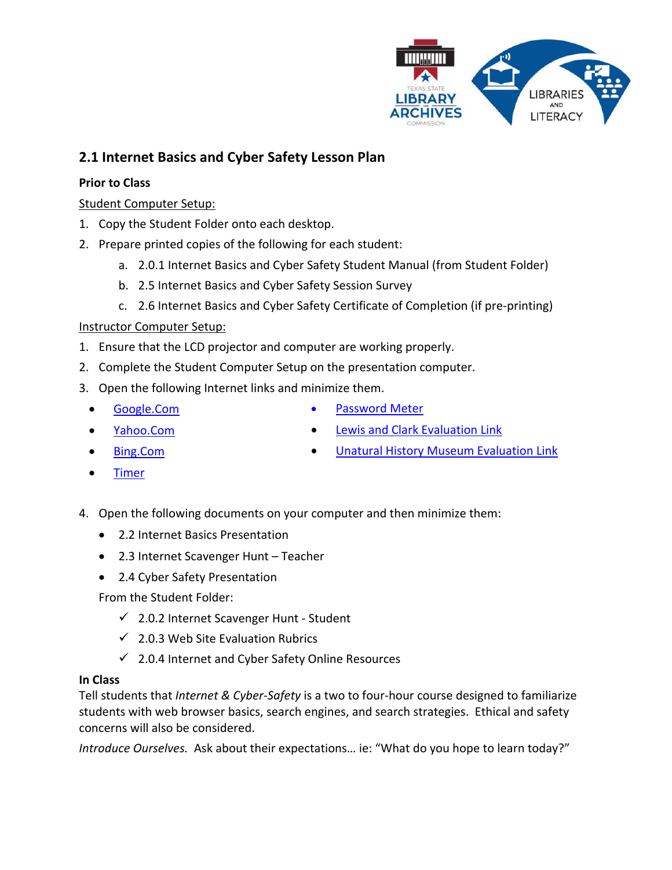

# **2.1 Internet Basics and Cyber Safety Lesson Plan**

### **Prior to Class**

## Student Computer Setup:

- 1. Copy the Student Folder onto each desktop.
- 2. Prepare printed copies of the following for each student:
	- a. 2.0.1 Internet Basics and Cyber Safety Student Manual (from Student Folder)
	- b. 2.5 Internet Basics and Cyber Safety Session Survey
	- c. 2.6 Internet Basics and Cyber Safety Certificate of Completion (if pre-printing)

### Instructor Computer Setup:

- 1. Ensure that the LCD projector and computer are working properly.
- 2. Complete the Student Computer Setup on the presentation computer.
- 3. Open the following Internet links and minimize them.
	- Google.Com

[Password Meter](http://www.passwordmeter.com/)

- Yahoo.Com
- Bing.Com

[Lewis and Clark Evaluation Link](http://www.loc.gov/exhibits/lewisandclark/lewisandclark.html) • [Unatural History Museum Evaluation Link](http://www.unmuseum.org/unmain.htm)

- **[Timer](http://www.online-stopwatch.com/full-screen-stopwatch/)**
- 4. Open the following documents on your computer and then minimize them:
	- 2.2 Internet Basics Presentation
	- 2.3 Internet Scavenger Hunt Teacher
	- 2.4 Cyber Safety Presentation

From the Student Folder:

- $\checkmark$  2.0.2 Internet Scavenger Hunt Student
- $\checkmark$  2.0.3 Web Site Evaluation Rubrics
- $\checkmark$  2.0.4 Internet and Cyber Safety Online Resources

#### **In Class**

Tell students that *Internet & Cyber-Safety* is a two to four-hour course designed to familiarize students with web browser basics, search engines, and search strategies. Ethical and safety concerns will also be considered.

*Introduce Ourselves.* Ask about their expectations… ie: "What do you hope to learn today?"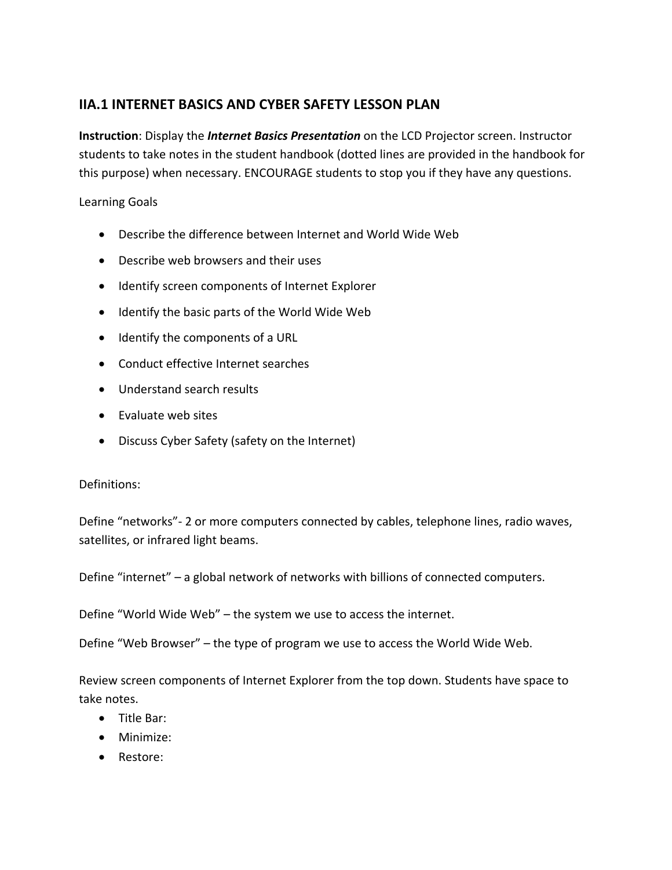# **IIA.1 INTERNET BASICS AND CYBER SAFETY LESSON PLAN**

**Instruction**: Display the *Internet Basics Presentation* on the LCD Projector screen. Instructor students to take notes in the student handbook (dotted lines are provided in the handbook for this purpose) when necessary. ENCOURAGE students to stop you if they have any questions.

Learning Goals

- Describe the difference between Internet and World Wide Web
- Describe web browsers and their uses
- Identify screen components of Internet Explorer
- Identify the basic parts of the World Wide Web
- Identify the components of a URL
- Conduct effective Internet searches
- Understand search results
- Evaluate web sites
- Discuss Cyber Safety (safety on the Internet)

# Definitions:

Define "networks"- 2 or more computers connected by cables, telephone lines, radio waves, satellites, or infrared light beams.

Define "internet" – a global network of networks with billions of connected computers.

Define "World Wide Web" – the system we use to access the internet.

Define "Web Browser" – the type of program we use to access the World Wide Web.

Review screen components of Internet Explorer from the top down. Students have space to take notes.

- Title Bar:
- Minimize:
- Restore: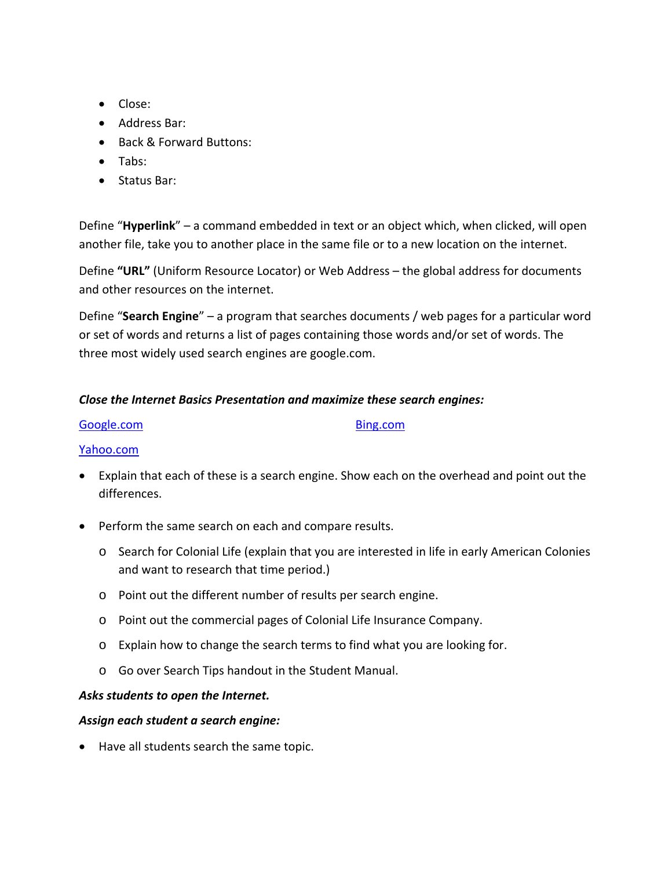- Close:
- Address Bar:
- Back & Forward Buttons:
- Tabs:
- Status Bar:

Define "**Hyperlink**" – a command embedded in text or an object which, when clicked, will open another file, take you to another place in the same file or to a new location on the internet.

Define **"URL"** (Uniform Resource Locator) or Web Address – the global address for documents and other resources on the internet.

Define "**Search Engine**" – a program that searches documents / web pages for a particular word or set of words and returns a list of pages containing those words and/or set of words. The three most widely used search engines are google.com.

### *Close the Internet Basics Presentation and maximize these search engines:*

| Google.com |
|------------|
|------------|

#### Yahoo.com

• Explain that each of these is a search engine. Show each on the overhead and point out the differences.

Bing.com

- Perform the same search on each and compare results.
	- o Search for Colonial Life (explain that you are interested in life in early American Colonies and want to research that time period.)
	- o Point out the different number of results per search engine.
	- o Point out the commercial pages of Colonial Life Insurance Company.
	- o Explain how to change the search terms to find what you are looking for.
	- o Go over Search Tips handout in the Student Manual.

#### *Asks students to open the Internet.*

#### *Assign each student a search engine:*

• Have all students search the same topic.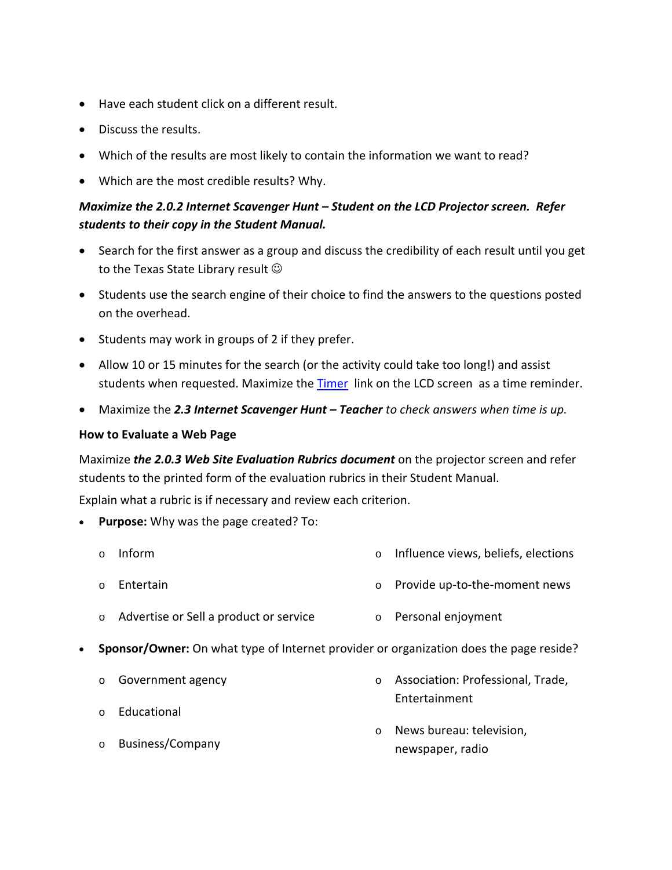- Have each student click on a different result.
- Discuss the results.
- Which of the results are most likely to contain the information we want to read?
- Which are the most credible results? Why.

# *Maximize the 2.0.2 Internet Scavenger Hunt – Student on the LCD Projector screen. Refer students to their copy in the Student Manual.*

- Search for the first answer as a group and discuss the credibility of each result until you get to the Texas State Library result  $\odot$
- Students use the search engine of their choice to find the answers to the questions posted on the overhead.
- Students may work in groups of 2 if they prefer.
- Allow 10 or 15 minutes for the search (or the activity could take too long!) and assist students when requested. Maximize the **[Timer](http://www.online-stopwatch.com/full-screen-stopwatch/)** link on the LCD screen as a time reminder.
- Maximize the *2.3 Internet Scavenger Hunt – Teacher to check answers when time is up.*

#### **How to Evaluate a Web Page**

Maximize *the 2.0.3 Web Site Evaluation Rubrics document* on the projector screen and refer students to the printed form of the evaluation rubrics in their Student Manual.

Explain what a rubric is if necessary and review each criterion.

- **Purpose:** Why was the page created? To:
	- o Inform o Influence views, beliefs, elections
	- o Entertain
- 
- o Provide up-to-the-moment news
- o Advertise or Sell a product or service o Personal enjoyment
- **Sponsor/Owner:** On what type of Internet provider or organization does the page reside?
	- o Government agency
	- o Educational
	- o Business/Company
- o Association: Professional, Trade, Entertainment
- o News bureau: television, newspaper, radio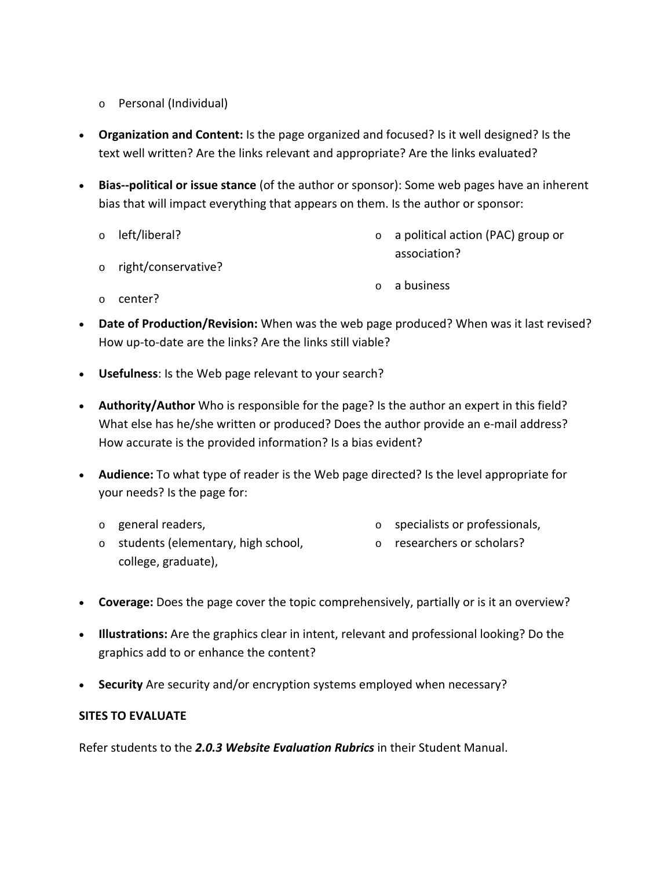- o Personal (Individual)
- **Organization and Content:** Is the page organized and focused? Is it well designed? Is the text well written? Are the links relevant and appropriate? Are the links evaluated?
- **Bias--political or issue stance** (of the author or sponsor): Some web pages have an inherent bias that will impact everything that appears on them. Is the author or sponsor:

|         | o left/liberal?       | $\circ$ a political action (PAC) group or |
|---------|-----------------------|-------------------------------------------|
|         | o right/conservative? | association?                              |
|         |                       | <b>o</b> a business                       |
| $\circ$ | center?               |                                           |

- **Date of Production/Revision:** When was the web page produced? When was it last revised? How up-to-date are the links? Are the links still viable?
- **Usefulness**: Is the Web page relevant to your search?
- **Authority/Author** Who is responsible for the page? Is the author an expert in this field? What else has he/she written or produced? Does the author provide an e-mail address? How accurate is the provided information? Is a bias evident?
- **Audience:** To what type of reader is the Web page directed? Is the level appropriate for your needs? Is the page for:
	- o general readers,
		- o specialists or professionals,
	- o students (elementary, high school, college, graduate),
- o researchers or scholars?
- **Coverage:** Does the page cover the topic comprehensively, partially or is it an overview?
- **Illustrations:** Are the graphics clear in intent, relevant and professional looking? Do the graphics add to or enhance the content?
- **Security** Are security and/or encryption systems employed when necessary?

#### **SITES TO EVALUATE**

Refer students to the *2.0.3 Website Evaluation Rubrics* in their Student Manual.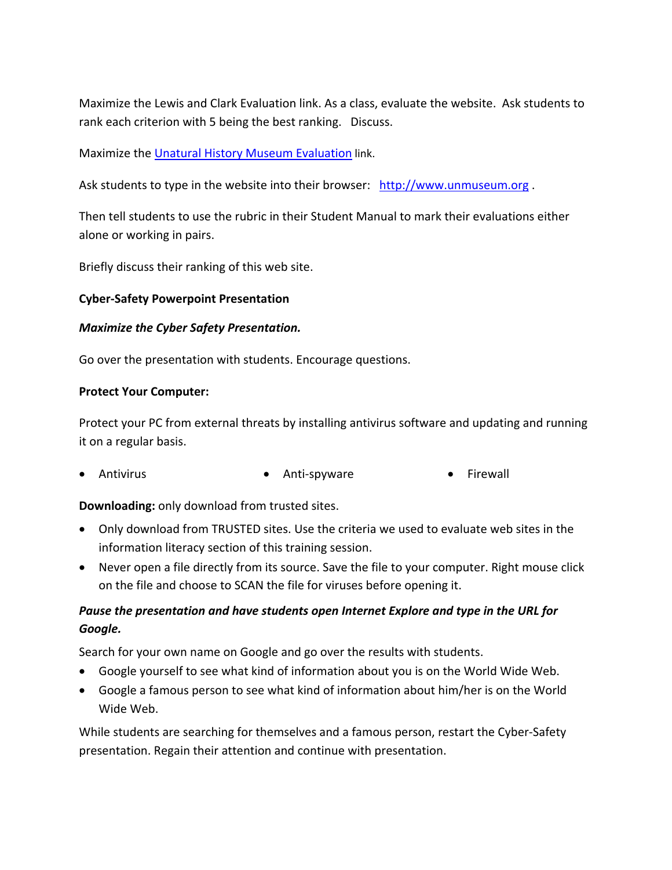Maximize the Lewis and Clark Evaluation link. As a class, evaluate the website. Ask students to rank each criterion with 5 being the best ranking. Discuss.

Maximize th[e Unatural History Museum Evaluation](http://www.unmuseum.org/unmain.htm) link.

Ask students to type in the website into their browser: [http://www.unmuseum.org](http://www.unmuseum.org/).

Then tell students to use the rubric in their Student Manual to mark their evaluations either alone or working in pairs.

Briefly discuss their ranking of this web site.

### **Cyber-Safety Powerpoint Presentation**

#### *Maximize the Cyber Safety Presentation.*

Go over the presentation with students. Encourage questions.

#### **Protect Your Computer:**

Protect your PC from external threats by installing antivirus software and updating and running it on a regular basis.

• Antivirus • Anti-spyware • Firewall

## **Downloading:** only download from trusted sites.

- Only download from TRUSTED sites. Use the criteria we used to evaluate web sites in the information literacy section of this training session.
- Never open a file directly from its source. Save the file to your computer. Right mouse click on the file and choose to SCAN the file for viruses before opening it.

# *Pause the presentation and have students open Internet Explore and type in the URL for Google.*

Search for your own name on Google and go over the results with students.

- Google yourself to see what kind of information about you is on the World Wide Web.
- Google a famous person to see what kind of information about him/her is on the World Wide Web.

While students are searching for themselves and a famous person, restart the Cyber-Safety presentation. Regain their attention and continue with presentation.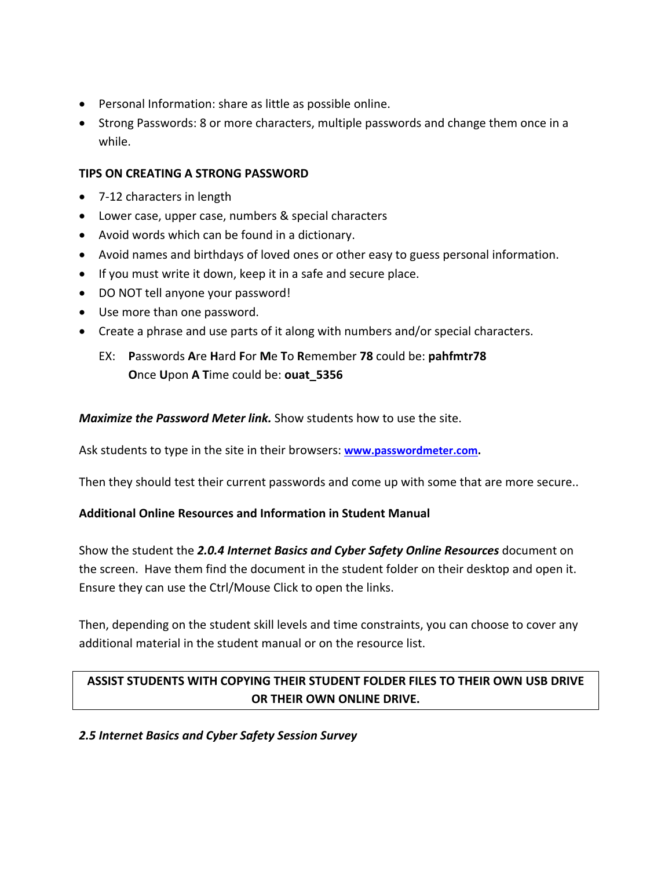- Personal Information: share as little as possible online.
- Strong Passwords: 8 or more characters, multiple passwords and change them once in a while.

## **TIPS ON CREATING A STRONG PASSWORD**

- 7-12 characters in length
- Lower case, upper case, numbers & special characters
- Avoid words which can be found in a dictionary.
- Avoid names and birthdays of loved ones or other easy to guess personal information.
- If you must write it down, keep it in a safe and secure place.
- DO NOT tell anyone your password!
- Use more than one password.
- Create a phrase and use parts of it along with numbers and/or special characters.

# EX: **P**asswords **A**re **H**ard **F**or **M**e **T**o **R**emember **78** could be: **pahfmtr78 O**nce **U**pon **A T**ime could be: **ouat\_5356**

*Maximize the Password Meter link.* Show students how to use the site.

Ask students to type in the site in their browsers: **[www.passwordmeter.com.](http://www.passwordmeter.com/)**

Then they should test their current passwords and come up with some that are more secure..

#### **Additional Online Resources and Information in Student Manual**

Show the student the *2.0.4 Internet Basics and Cyber Safety Online Resources* document on the screen. Have them find the document in the student folder on their desktop and open it. Ensure they can use the Ctrl/Mouse Click to open the links.

Then, depending on the student skill levels and time constraints, you can choose to cover any additional material in the student manual or on the resource list.

# **ASSIST STUDENTS WITH COPYING THEIR STUDENT FOLDER FILES TO THEIR OWN USB DRIVE OR THEIR OWN ONLINE DRIVE.**

#### *2.5 Internet Basics and Cyber Safety Session Survey*